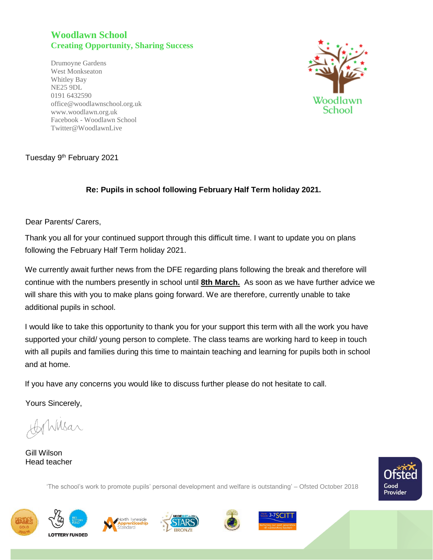## **Woodlawn School Creating Opportunity, Sharing Success**

Drumoyne Gardens West Monkseaton Whitley Bay NE25 9DL 0191 6432590 office@woodlawnschool.org.uk [www.woodlawn.](http://www.woodlawn/)org.uk Facebook - Woodlawn School Twitter@WoodlawnLive



## Tuesday 9<sup>th</sup> February 2021

## **Re: Pupils in school following February Half Term holiday 2021.**

Dear Parents/ Carers,

Thank you all for your continued support through this difficult time. I want to update you on plans following the February Half Term holiday 2021.

We currently await further news from the DFE regarding plans following the break and therefore will continue with the numbers presently in school until **8th March.** As soon as we have further advice we will share this with you to make plans going forward. We are therefore, currently unable to take additional pupils in school.

I would like to take this opportunity to thank you for your support this term with all the work you have supported your child/ young person to complete. The class teams are working hard to keep in touch with all pupils and families during this time to maintain teaching and learning for pupils both in school and at home.

If you have any concerns you would like to discuss further please do not hesitate to call.

Yours Sincerely,

Wsar

Gill Wilson Head teacher

Good Provider









'The school's work to promote pupils' personal development and welfare is outstanding' – Ofsted October 2018